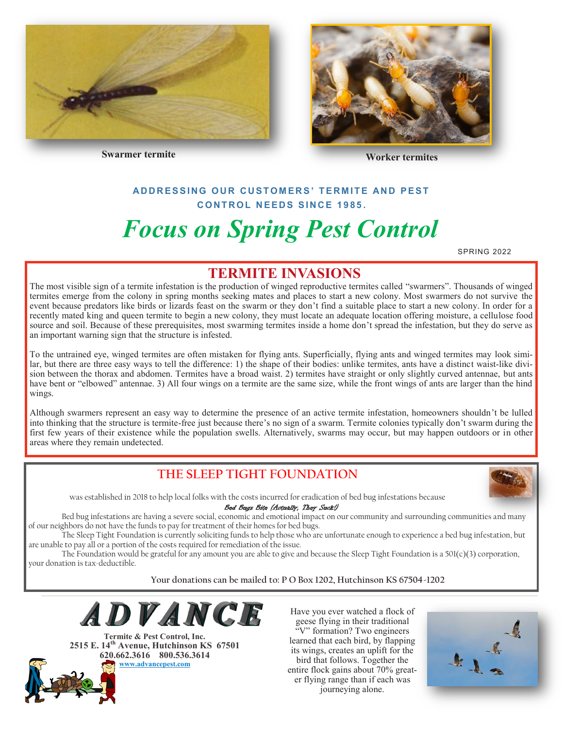



**Swarmer termite Worker termites** 

#### **AD D R E S S I N G O U R C U S T O M E R S ' T E R M I T E AN D P E S T C O N T R O L N E E D S S I N C E 1 9 8 5 .**

# *Focus on Spring Pest Control*

SPRING 2022

## **TERMITE INVASIONS**

The most visible sign of a termite infestation is the production of winged reproductive termites called "swarmers". Thousands of winged termites emerge from the colony in spring months seeking mates and places to start a new colony. Most swarmers do not survive the event because predators like birds or lizards feast on the swarm or they don't find a suitable place to start a new colony. In order for a recently mated king and queen termite to begin a new colony, they must locate an adequate location offering moisture, a cellulose food source and soil. Because of these prerequisites, most swarming termites inside a home don't spread the infestation, but they do serve as an important warning sign that the structure is infested.

To the untrained eye, winged termites are often mistaken for flying ants. Superficially, flying ants and winged termites may look similar, but there are three easy ways to tell the difference: 1) the shape of their bodies: unlike termites, ants have a distinct waist-like division between the thorax and abdomen. Termites have a broad waist. 2) termites have straight or only slightly curved antennae, but ants have bent or "elbowed" antennae. 3) All four wings on a termite are the same size, while the front wings of ants are larger than the hind wings.

Although swarmers represent an easy way to determine the presence of an active termite infestation, homeowners shouldn't be lulled into thinking that the structure is termite-free just because there's no sign of a swarm. Termite colonies typically don't swarm during the first few years of their existence while the population swells. Alternatively, swarms may occur, but may happen outdoors or in other areas where they remain undetected.

## **THE SLEEP TIGHT FOUNDATION**



was established in 2018 to help local folks with the costs incurred for eradication of bed bug infestations because

Bed Bugs Bite (Actually, They Suck!)

Bed bug infestations are having a severe social, economic and emotional impact on our community and surrounding communities and many of our neighbors do not have the funds to pay for treatment of their homes for bed bugs.

The Sleep Tight Foundation is currently soliciting funds to help those who are unfortunate enough to experience a bed bug infestation, but are unable to pay all or a portion of the costs required for remediation of the issue.

The Foundation would be grateful for any amount you are able to give and because the Sleep Tight Foundation is a 501(c)(3) corporation, your donation is tax-deductible.

**Your donations can be mailed to: P O Box 1202, Hutchinson KS 67504-1202**



**Termite & Pest Control, Inc. 2515 E. 14th Avenue, Hutchinson KS 67501 620.662.3616 800.536.3614 [www.advancepest.com](http://www.advancepest.com)**

Have you ever watched a flock of geese flying in their traditional "V" formation? Two engineers learned that each bird, by flapping its wings, creates an uplift for the bird that follows. Together the entire flock gains about 70% greater flying range than if each was journeying alone.